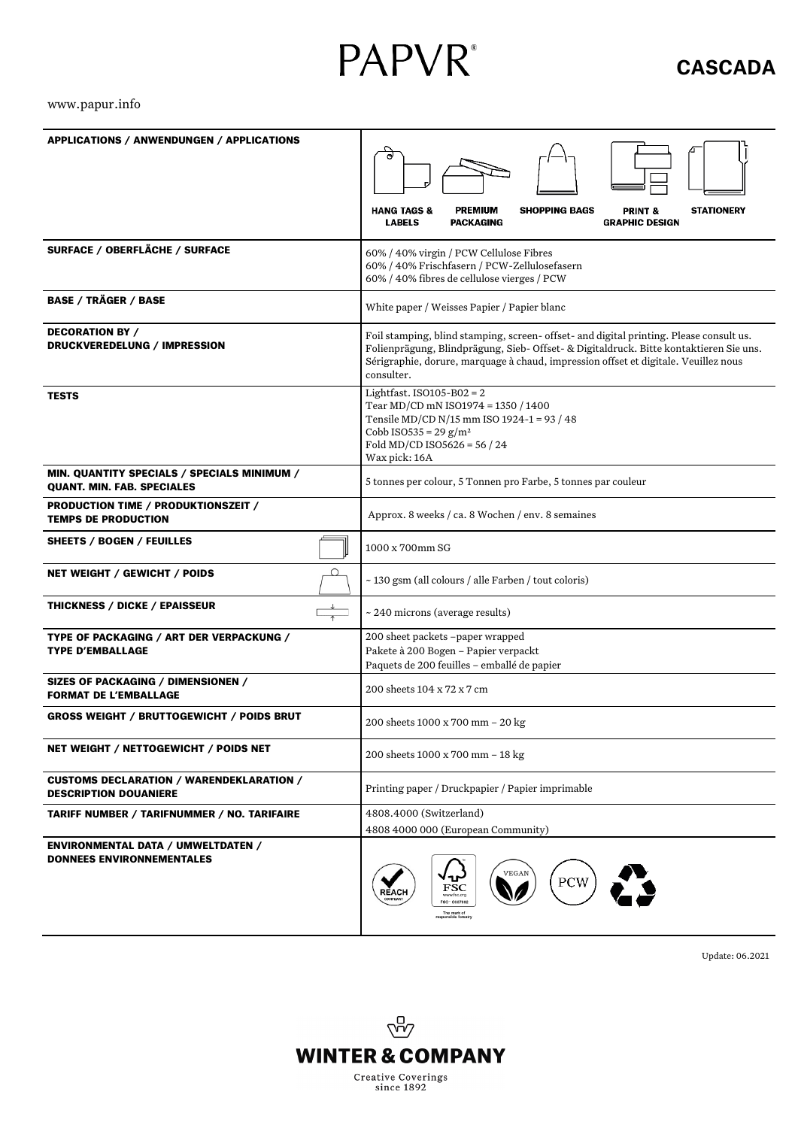# **PAPVR**®

## **CASCADA**

#### [www.papur.info](http://www.papur.info/)

| <b>APPLICATIONS / ANWENDUNGEN / APPLICATIONS</b>                                |                                                                                                             |
|---------------------------------------------------------------------------------|-------------------------------------------------------------------------------------------------------------|
|                                                                                 |                                                                                                             |
|                                                                                 |                                                                                                             |
|                                                                                 |                                                                                                             |
|                                                                                 | <b>PREMIUM</b><br><b>HANG TAGS &amp;</b><br><b>SHOPPING BAGS</b><br><b>STATIONERY</b><br><b>PRINT &amp;</b> |
|                                                                                 | <b>PACKAGING</b><br><b>LABELS</b><br><b>GRAPHIC DESIGN</b>                                                  |
| SURFACE / OBERFLÄCHE / SURFACE                                                  | 60% / 40% virgin / PCW Cellulose Fibres                                                                     |
|                                                                                 | 60% / 40% Frischfasern / PCW-Zellulosefasern                                                                |
|                                                                                 | 60% / 40% fibres de cellulose vierges / PCW                                                                 |
| <b>BASE / TRÄGER / BASE</b>                                                     | White paper / Weisses Papier / Papier blanc                                                                 |
| <b>DECORATION BY /</b>                                                          | Foil stamping, blind stamping, screen- offset- and digital printing. Please consult us.                     |
| DRUCKVEREDELUNG / IMPRESSION                                                    | Folienprägung, Blindprägung, Sieb- Offset- & Digitaldruck. Bitte kontaktieren Sie uns.                      |
|                                                                                 | Sérigraphie, dorure, marquage à chaud, impression offset et digitale. Veuillez nous                         |
|                                                                                 | consulter.                                                                                                  |
| <b>TESTS</b>                                                                    | Lightfast. ISO105-B02 = $2$<br>Tear MD/CD mN ISO1974 = 1350 / 1400                                          |
|                                                                                 | Tensile MD/CD N/15 mm ISO 1924-1 = 93 / 48                                                                  |
|                                                                                 | Cobb ISO535 = $29$ g/m <sup>2</sup>                                                                         |
|                                                                                 | Fold MD/CD ISO5626 = 56 / 24<br>Wax pick: 16A                                                               |
| MIN. QUANTITY SPECIALS / SPECIALS MINIMUM /                                     |                                                                                                             |
| <b>QUANT. MIN. FAB. SPECIALES</b>                                               | 5 tonnes per colour, 5 Tonnen pro Farbe, 5 tonnes par couleur                                               |
| PRODUCTION TIME / PRODUKTIONSZEIT /                                             |                                                                                                             |
| <b>TEMPS DE PRODUCTION</b>                                                      | Approx. 8 weeks / ca. 8 Wochen / env. 8 semaines                                                            |
| SHEETS / BOGEN / FEUILLES                                                       | 1000 x 700mm SG                                                                                             |
| $\circ$<br>NET WEIGHT / GEWICHT / POIDS                                         | ~130 gsm (all colours / alle Farben / tout coloris)                                                         |
| <b>THICKNESS / DICKE / EPAISSEUR</b>                                            | ~240 microns (average results)                                                                              |
| TYPE OF PACKAGING / ART DER VERPACKUNG /                                        | 200 sheet packets -paper wrapped                                                                            |
| <b>TYPE D'EMBALLAGE</b>                                                         | Pakete à 200 Bogen - Papier verpackt                                                                        |
|                                                                                 | Paquets de 200 feuilles - emballé de papier                                                                 |
| SIZES OF PACKAGING / DIMENSIONEN /<br><b>FORMAT DE L'EMBALLAGE</b>              | 200 sheets 104 x 72 x 7 cm                                                                                  |
| <b>GROSS WEIGHT / BRUTTOGEWICHT / POIDS BRUT</b>                                | 200 sheets 1000 x 700 mm - 20 kg                                                                            |
| NET WEIGHT / NETTOGEWICHT / POIDS NET                                           | 200 sheets 1000 x 700 mm - 18 kg                                                                            |
| <b>CUSTOMS DECLARATION / WARENDEKLARATION /</b><br><b>DESCRIPTION DOUANIERE</b> | Printing paper / Druckpapier / Papier imprimable                                                            |
| <b>TARIFF NUMBER / TARIFNUMMER / NO. TARIFAIRE</b>                              | 4808.4000 (Switzerland)                                                                                     |
|                                                                                 | 4808 4000 000 (European Community)                                                                          |
| ENVIRONMENTAL DATA / UMWELTDATEN /<br><b>DONNEES ENVIRONNEMENTALES</b>          | <b>VEGAN</b><br>PCW<br>FSC<br><b>REACH</b><br>FSC 0007992<br>The mark of<br>responsible forestry            |

Update: 06.2021

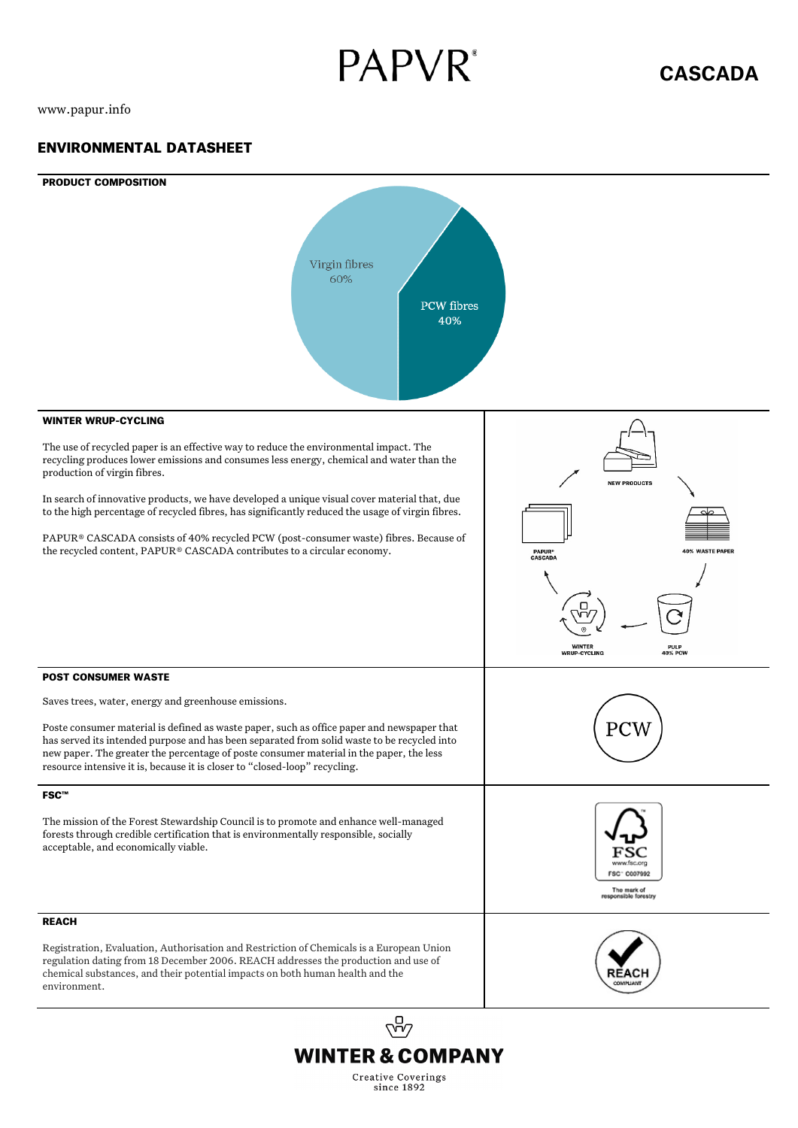# **PAPVR**<sup>\*</sup>

www.papur.info

### ENVIRONMENTAL DATASHEET